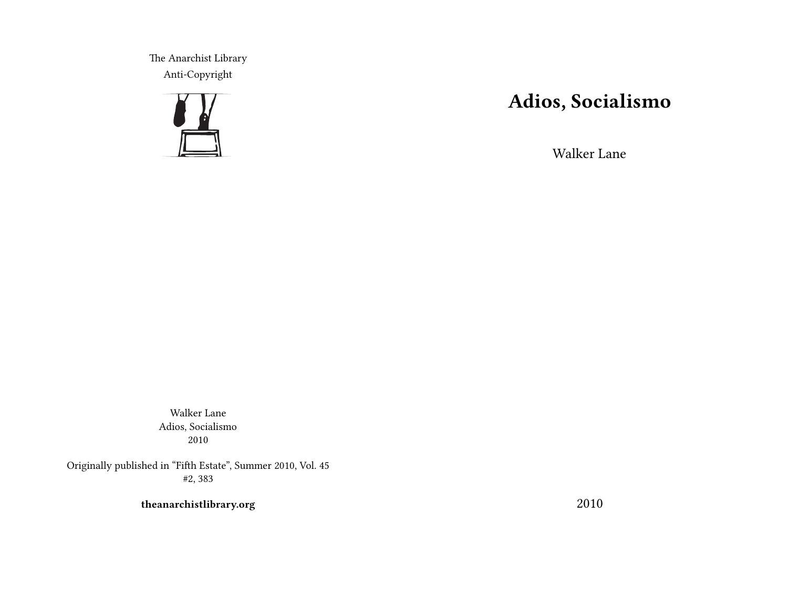The Anarchist Library Anti-Copyright



# **Adios, Socialismo**

Walker Lane

Walker Lane Adios, Socialismo 2010

Originally published in "Fifth Estate", Summer 2010, Vol. 45 #2, 383

**theanarchistlibrary.org**

2010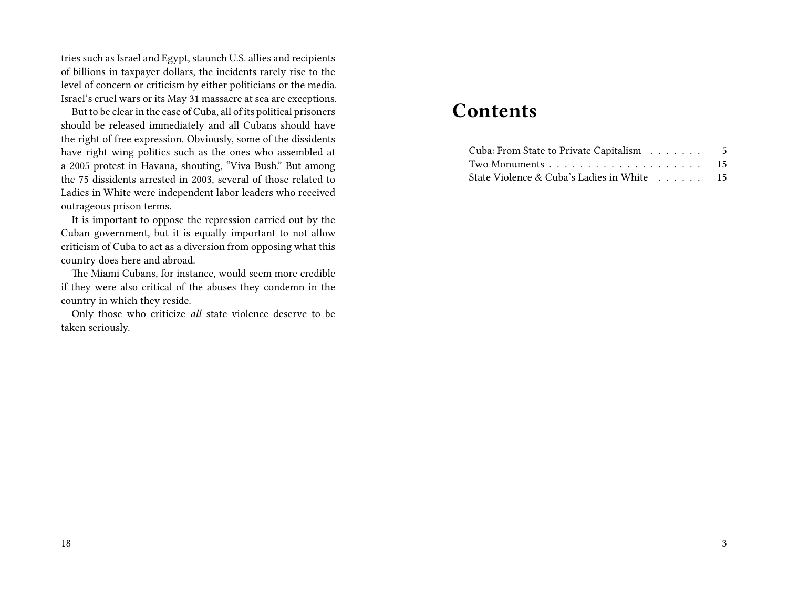tries such as Israel and Egypt, staunch U.S. allies and recipients of billions in taxpayer dollars, the incidents rarely rise to the level of concern or criticism by either politicians or the media. Israel's cruel wars or its May 31 massacre at sea are exceptions.

But to be clear in the case of Cuba, all of its political prisoners should be released immediately and all Cubans should have the right of free expression. Obviously, some of the dissidents have right wing politics such as the ones who assembled at a 2005 protest in Havana, shouting, "Viva Bush." But among the 75 dissidents arrested in 2003, several of those related to Ladies in White were independent labor leaders who received outrageous prison terms.

It is important to oppose the repression carried out by the Cuban government, but it is equally important to not allow criticism of Cuba to act as a diversion from opposing what this country does here and abroad.

The Miami Cubans, for instance, would seem more credible if they were also critical of the abuses they condemn in the country in which they reside.

Only those who criticize *all* state violence deserve to be taken seriously.

## **Contents**

| Cuba: From State to Private Capitalism 5   |  |
|--------------------------------------------|--|
|                                            |  |
| State Violence & Cuba's Ladies in White 15 |  |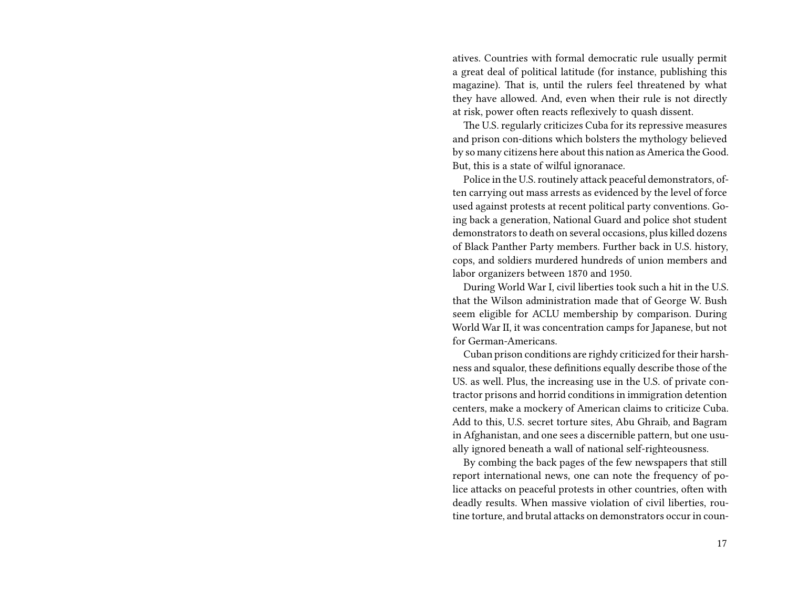atives. Countries with formal democratic rule usually permit a great deal of political latitude (for instance, publishing this magazine). That is, until the rulers feel threatened by what they have allowed. And, even when their rule is not directly at risk, power often reacts reflexively to quash dissent.

The U.S. regularly criticizes Cuba for its repressive measures and prison con-ditions which bolsters the mythology believed by so many citizens here about this nation as America the Good. But, this is a state of wilful ignoranace.

Police in the U.S. routinely attack peaceful demonstrators, often carrying out mass arrests as evidenced by the level of force used against protests at recent political party conventions. Going back a generation, National Guard and police shot student demonstrators to death on several occasions, plus killed dozens of Black Panther Party members. Further back in U.S. history, cops, and soldiers murdered hundreds of union members and labor organizers between 1870 and 1950.

During World War I, civil liberties took such a hit in the U.S. that the Wilson administration made that of George W. Bush seem eligible for ACLU membership by comparison. During World War II, it was concentration camps for Japanese, but not for German-Americans.

Cuban prison conditions are righdy criticized for their harshness and squalor, these definitions equally describe those of the US. as well. Plus, the increasing use in the U.S. of private contractor prisons and horrid conditions in immigration detention centers, make a mockery of American claims to criticize Cuba. Add to this, U.S. secret torture sites, Abu Ghraib, and Bagram in Afghanistan, and one sees a discernible pattern, but one usually ignored beneath a wall of national self-righteousness.

By combing the back pages of the few newspapers that still report international news, one can note the frequency of police attacks on peaceful protests in other countries, often with deadly results. When massive violation of civil liberties, routine torture, and brutal attacks on demonstrators occur in coun-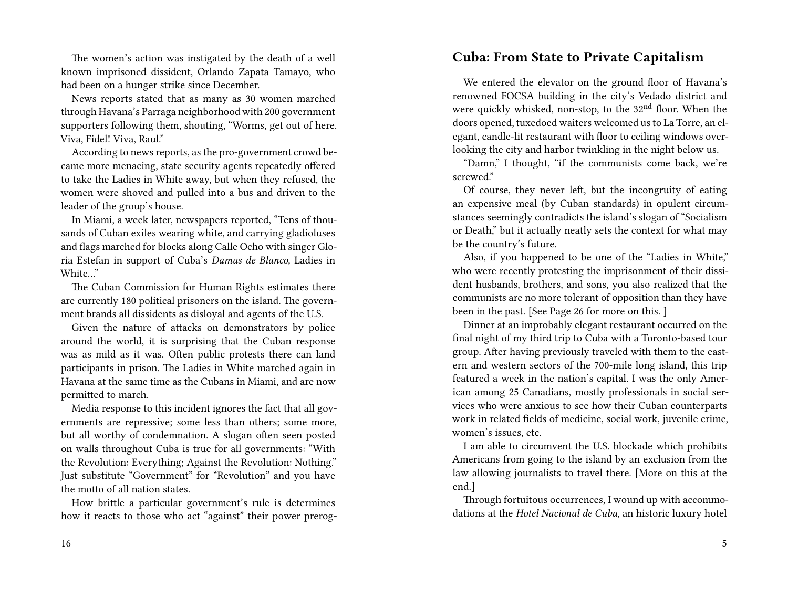The women's action was instigated by the death of a well known imprisoned dissident, Orlando Zapata Tamayo, who had been on a hunger strike since December.

News reports stated that as many as 30 women marched through Havana's Parraga neighborhood with 200 government supporters following them, shouting, "Worms, get out of here. Viva, Fidel! Viva, Raul."

According to news reports, as the pro-government crowd became more menacing, state security agents repeatedly offered to take the Ladies in White away, but when they refused, the women were shoved and pulled into a bus and driven to the leader of the group's house.

In Miami, a week later, newspapers reported, "Tens of thousands of Cuban exiles wearing white, and carrying gladioluses and flags marched for blocks along Calle Ocho with singer Gloria Estefan in support of Cuba's *Damas de Blanco,* Ladies in White…"

The Cuban Commission for Human Rights estimates there are currently 180 political prisoners on the island. The government brands all dissidents as disloyal and agents of the U.S.

Given the nature of attacks on demonstrators by police around the world, it is surprising that the Cuban response was as mild as it was. Often public protests there can land participants in prison. The Ladies in White marched again in Havana at the same time as the Cubans in Miami, and are now permitted to march.

Media response to this incident ignores the fact that all governments are repressive; some less than others; some more, but all worthy of condemnation. A slogan often seen posted on walls throughout Cuba is true for all governments: "With the Revolution: Everything; Against the Revolution: Nothing." Just substitute "Government" for "Revolution" and you have the motto of all nation states.

How brittle a particular government's rule is determines how it reacts to those who act "against" their power prerog-

#### 16

#### **Cuba: From State to Private Capitalism**

We entered the elevator on the ground floor of Havana's renowned FOCSA building in the city's Vedado district and were quickly whisked, non-stop, to the 32<sup>nd</sup> floor. When the doors opened, tuxedoed waiters welcomed us to La Torre, an elegant, candle-lit restaurant with floor to ceiling windows overlooking the city and harbor twinkling in the night below us.

"Damn," I thought, "if the communists come back, we're screwed"

Of course, they never left, but the incongruity of eating an expensive meal (by Cuban standards) in opulent circumstances seemingly contradicts the island's slogan of "Socialism or Death," but it actually neatly sets the context for what may be the country's future.

Also, if you happened to be one of the "Ladies in White," who were recently protesting the imprisonment of their dissident husbands, brothers, and sons, you also realized that the communists are no more tolerant of opposition than they have been in the past. [See Page 26 for more on this. ]

Dinner at an improbably elegant restaurant occurred on the final night of my third trip to Cuba with a Toronto-based tour group. After having previously traveled with them to the eastern and western sectors of the 700-mile long island, this trip featured a week in the nation's capital. I was the only American among 25 Canadians, mostly professionals in social services who were anxious to see how their Cuban counterparts work in related fields of medicine, social work, juvenile crime, women's issues, etc.

I am able to circumvent the U.S. blockade which prohibits Americans from going to the island by an exclusion from the law allowing journalists to travel there. [More on this at the end.]

Through fortuitous occurrences, I wound up with accommodations at the *Hotel Nacional de Cuba*, an historic luxury hotel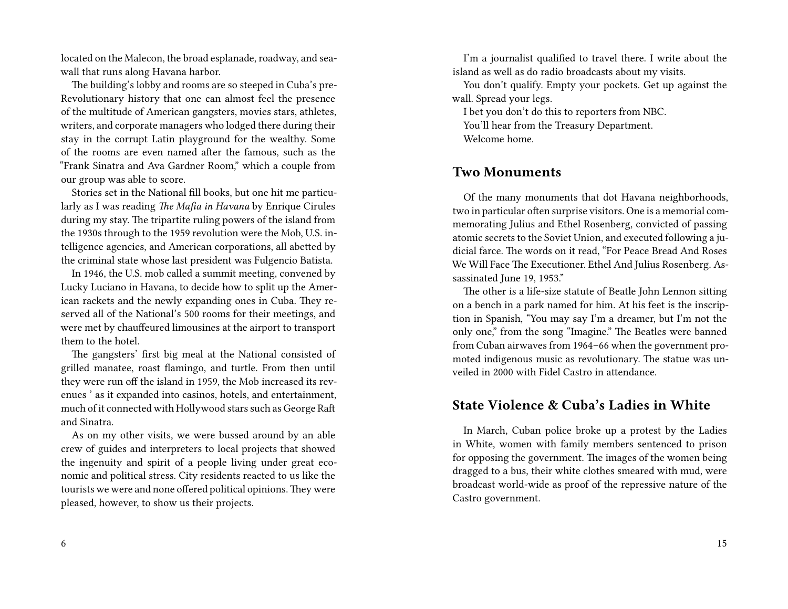located on the Malecon, the broad esplanade, roadway, and seawall that runs along Havana harbor.

The building's lobby and rooms are so steeped in Cuba's pre-Revolutionary history that one can almost feel the presence of the multitude of American gangsters, movies stars, athletes, writers, and corporate managers who lodged there during their stay in the corrupt Latin playground for the wealthy. Some of the rooms are even named after the famous, such as the "Frank Sinatra and Ava Gardner Room," which a couple from our group was able to score.

Stories set in the National fill books, but one hit me particularly as I was reading *The Mafia in Havana* by Enrique Cirules during my stay. The tripartite ruling powers of the island from the 1930s through to the 1959 revolution were the Mob, U.S. intelligence agencies, and American corporations, all abetted by the criminal state whose last president was Fulgencio Batista.

In 1946, the U.S. mob called a summit meeting, convened by Lucky Luciano in Havana, to decide how to split up the American rackets and the newly expanding ones in Cuba. They reserved all of the National's 500 rooms for their meetings, and were met by chauffeured limousines at the airport to transport them to the hotel.

The gangsters' first big meal at the National consisted of grilled manatee, roast flamingo, and turtle. From then until they were run off the island in 1959, the Mob increased its revenues ' as it expanded into casinos, hotels, and entertainment, much of it connected with Hollywood stars such as George Raft and Sinatra.

As on my other visits, we were bussed around by an able crew of guides and interpreters to local projects that showed the ingenuity and spirit of a people living under great economic and political stress. City residents reacted to us like the tourists we were and none offered political opinions.They were pleased, however, to show us their projects.

6

I'm a journalist qualified to travel there. I write about the island as well as do radio broadcasts about my visits.

You don't qualify. Empty your pockets. Get up against the wall. Spread your legs.

I bet you don't do this to reporters from NBC. You'll hear from the Treasury Department. Welcome home.

#### **Two Monuments**

Of the many monuments that dot Havana neighborhoods, two in particular often surprise visitors. One is a memorial commemorating Julius and Ethel Rosenberg, convicted of passing atomic secrets to the Soviet Union, and executed following a judicial farce. The words on it read, "For Peace Bread And Roses We Will Face The Executioner. Ethel And Julius Rosenberg. Assassinated June 19, 1953."

The other is a life-size statute of Beatle John Lennon sitting on a bench in a park named for him. At his feet is the inscription in Spanish, "You may say I'm a dreamer, but I'm not the only one," from the song "Imagine." The Beatles were banned from Cuban airwaves from 1964–66 when the government promoted indigenous music as revolutionary. The statue was unveiled in 2000 with Fidel Castro in attendance.

### **State Violence & Cuba's Ladies in White**

In March, Cuban police broke up a protest by the Ladies in White, women with family members sentenced to prison for opposing the government. The images of the women being dragged to a bus, their white clothes smeared with mud, were broadcast world-wide as proof of the repressive nature of the Castro government.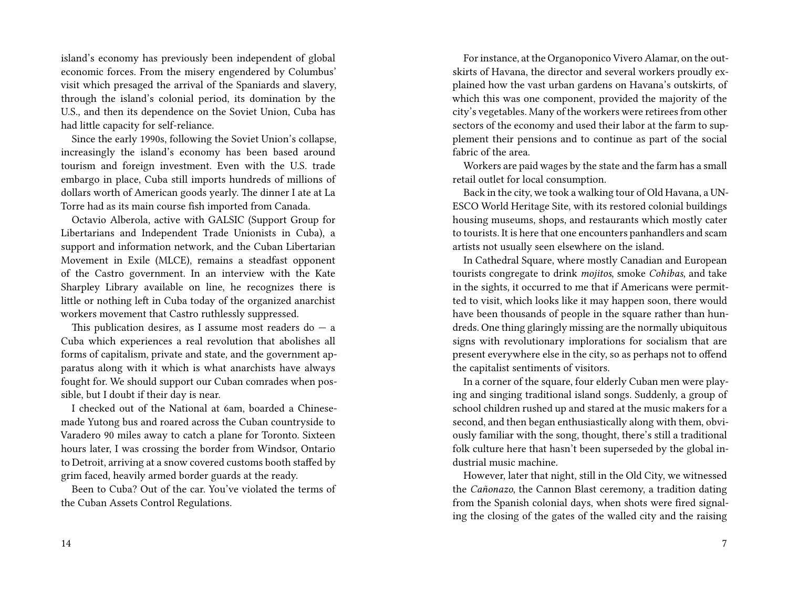island's economy has previously been independent of global economic forces. From the misery engendered by Columbus' visit which presaged the arrival of the Spaniards and slavery, through the island's colonial period, its domination by the U.S., and then its dependence on the Soviet Union, Cuba has had little capacity for self-reliance.

Since the early 1990s, following the Soviet Union's collapse, increasingly the island's economy has been based around tourism and foreign investment. Even with the U.S. trade embargo in place, Cuba still imports hundreds of millions of dollars worth of American goods yearly. The dinner I ate at La Torre had as its main course fish imported from Canada.

Octavio Alberola, active with GALSIC (Support Group for Libertarians and Independent Trade Unionists in Cuba), a support and information network, and the Cuban Libertarian Movement in Exile (MLCE), remains a steadfast opponent of the Castro government. In an interview with the Kate Sharpley Library available on line, he recognizes there is little or nothing left in Cuba today of the organized anarchist workers movement that Castro ruthlessly suppressed.

This publication desires, as I assume most readers do  $-$  a Cuba which experiences a real revolution that abolishes all forms of capitalism, private and state, and the government apparatus along with it which is what anarchists have always fought for. We should support our Cuban comrades when possible, but I doubt if their day is near.

I checked out of the National at 6am, boarded a Chinesemade Yutong bus and roared across the Cuban countryside to Varadero 90 miles away to catch a plane for Toronto. Sixteen hours later, I was crossing the border from Windsor, Ontario to Detroit, arriving at a snow covered customs booth staffed by grim faced, heavily armed border guards at the ready.

Been to Cuba? Out of the car. You've violated the terms of the Cuban Assets Control Regulations.

For instance, at the Organoponico Vivero Alamar, on the outskirts of Havana, the director and several workers proudly explained how the vast urban gardens on Havana's outskirts, of which this was one component, provided the majority of the city's vegetables. Many of the workers were retirees from other sectors of the economy and used their labor at the farm to supplement their pensions and to continue as part of the social fabric of the area.

Workers are paid wages by the state and the farm has a small retail outlet for local consumption.

Back in the city, we took a walking tour of Old Havana, a UN-ESCO World Heritage Site, with its restored colonial buildings housing museums, shops, and restaurants which mostly cater to tourists. It is here that one encounters panhandlers and scam artists not usually seen elsewhere on the island.

In Cathedral Square, where mostly Canadian and European tourists congregate to drink *mojitos*, smoke *Cohibas*, and take in the sights, it occurred to me that if Americans were permitted to visit, which looks like it may happen soon, there would have been thousands of people in the square rather than hundreds. One thing glaringly missing are the normally ubiquitous signs with revolutionary implorations for socialism that are present everywhere else in the city, so as perhaps not to offend the capitalist sentiments of visitors.

In a corner of the square, four elderly Cuban men were playing and singing traditional island songs. Suddenly, a group of school children rushed up and stared at the music makers for a second, and then began enthusiastically along with them, obviously familiar with the song, thought, there's still a traditional folk culture here that hasn't been superseded by the global industrial music machine.

However, later that night, still in the Old City, we witnessed the *Cañonazo*, the Cannon Blast ceremony, a tradition dating from the Spanish colonial days, when shots were fired signaling the closing of the gates of the walled city and the raising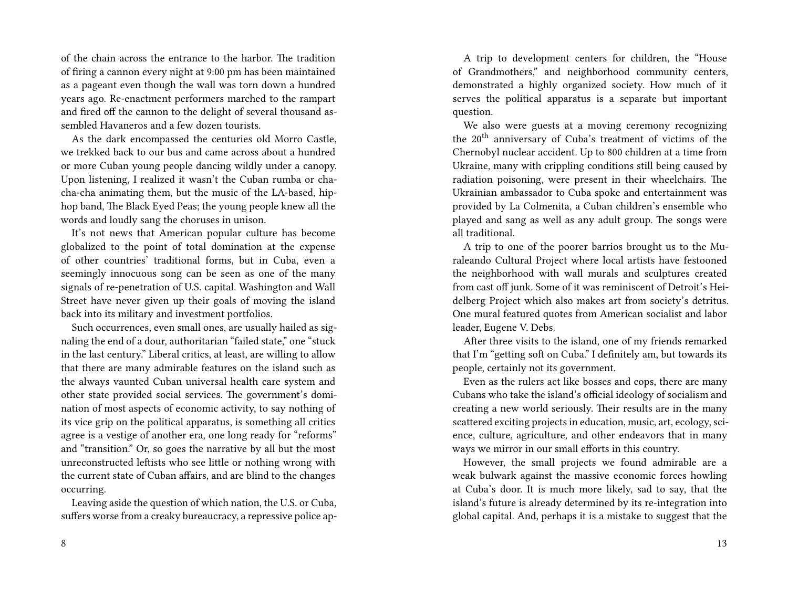of the chain across the entrance to the harbor. The tradition of firing a cannon every night at 9:00 pm has been maintained as a pageant even though the wall was torn down a hundred years ago. Re-enactment performers marched to the rampart and fired off the cannon to the delight of several thousand assembled Havaneros and a few dozen tourists.

As the dark encompassed the centuries old Morro Castle, we trekked back to our bus and came across about a hundred or more Cuban young people dancing wildly under a canopy. Upon listening, I realized it wasn't the Cuban rumba or chacha-cha animating them, but the music of the LA-based, hiphop band, The Black Eyed Peas; the young people knew all the words and loudly sang the choruses in unison.

It's not news that American popular culture has become globalized to the point of total domination at the expense of other countries' traditional forms, but in Cuba, even a seemingly innocuous song can be seen as one of the many signals of re-penetration of U.S. capital. Washington and Wall Street have never given up their goals of moving the island back into its military and investment portfolios.

Such occurrences, even small ones, are usually hailed as signaling the end of a dour, authoritarian "failed state," one "stuck in the last century." Liberal critics, at least, are willing to allow that there are many admirable features on the island such as the always vaunted Cuban universal health care system and other state provided social services. The government's domination of most aspects of economic activity, to say nothing of its vice grip on the political apparatus, is something all critics agree is a vestige of another era, one long ready for "reforms" and "transition." Or, so goes the narrative by all but the most unreconstructed leftists who see little or nothing wrong with the current state of Cuban affairs, and are blind to the changes occurring.

Leaving aside the question of which nation, the U.S. or Cuba, suffers worse from a creaky bureaucracy, a repressive police ap-

A trip to development centers for children, the "House of Grandmothers," and neighborhood community centers, demonstrated a highly organized society. How much of it serves the political apparatus is a separate but important question.

We also were guests at a moving ceremony recognizing the 20th anniversary of Cuba's treatment of victims of the Chernobyl nuclear accident. Up to 800 children at a time from Ukraine, many with crippling conditions still being caused by radiation poisoning, were present in their wheelchairs. The Ukrainian ambassador to Cuba spoke and entertainment was provided by La Colmenita, a Cuban children's ensemble who played and sang as well as any adult group. The songs were all traditional.

A trip to one of the poorer barrios brought us to the Muraleando Cultural Project where local artists have festooned the neighborhood with wall murals and sculptures created from cast off junk. Some of it was reminiscent of Detroit's Heidelberg Project which also makes art from society's detritus. One mural featured quotes from American socialist and labor leader, Eugene V. Debs.

After three visits to the island, one of my friends remarked that I'm "getting soft on Cuba." I definitely am, but towards its people, certainly not its government.

Even as the rulers act like bosses and cops, there are many Cubans who take the island's official ideology of socialism and creating a new world seriously. Their results are in the many scattered exciting projects in education, music, art, ecology, science, culture, agriculture, and other endeavors that in many ways we mirror in our small efforts in this country.

However, the small projects we found admirable are a weak bulwark against the massive economic forces howling at Cuba's door. It is much more likely, sad to say, that the island's future is already determined by its re-integration into global capital. And, perhaps it is a mistake to suggest that the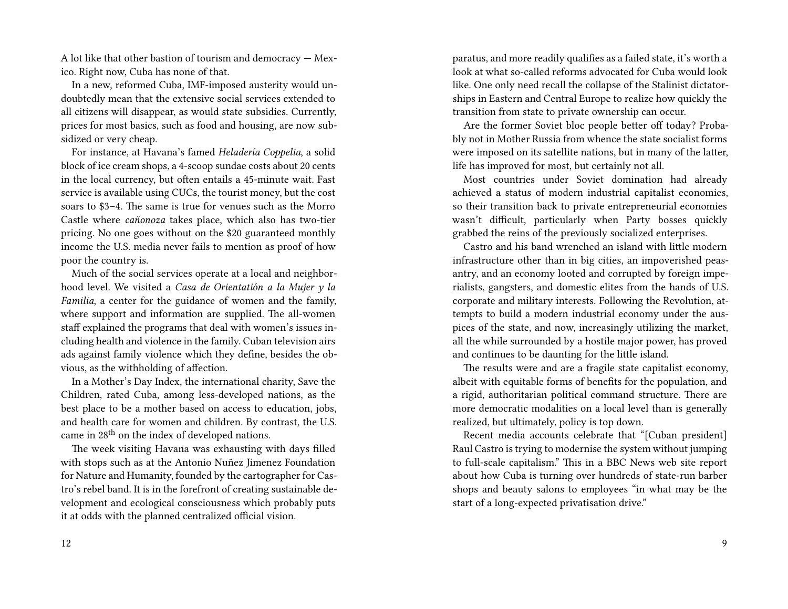A lot like that other bastion of tourism and democracy — Mexico. Right now, Cuba has none of that.

In a new, reformed Cuba, IMF-imposed austerity would undoubtedly mean that the extensive social services extended to all citizens will disappear, as would state subsidies. Currently, prices for most basics, such as food and housing, are now subsidized or very cheap.

For instance, at Havana's famed *Heladería Coppelia*, a solid block of ice cream shops, a 4-scoop sundae costs about 20 cents in the local currency, but often entails a 45-minute wait. Fast service is available using CUCs, the tourist money, but the cost soars to \$3–4. The same is true for venues such as the Morro Castle where *cañonoza* takes place, which also has two-tier pricing. No one goes without on the \$20 guaranteed monthly income the U.S. media never fails to mention as proof of how poor the country is.

Much of the social services operate at a local and neighborhood level. We visited a *Casa de Orientatión a la Mujer y la Familia*, a center for the guidance of women and the family, where support and information are supplied. The all-women staff explained the programs that deal with women's issues including health and violence in the family. Cuban television airs ads against family violence which they define, besides the obvious, as the withholding of affection.

In a Mother's Day Index, the international charity, Save the Children, rated Cuba, among less-developed nations, as the best place to be a mother based on access to education, jobs, and health care for women and children. By contrast, the U.S. came in 28<sup>th</sup> on the index of developed nations.

The week visiting Havana was exhausting with days filled with stops such as at the Antonio Nuñez Jimenez Foundation for Nature and Humanity, founded by the cartographer for Castro's rebel band. It is in the forefront of creating sustainable development and ecological consciousness which probably puts it at odds with the planned centralized official vision.

paratus, and more readily qualifies as a failed state, it's worth a look at what so-called reforms advocated for Cuba would look like. One only need recall the collapse of the Stalinist dictatorships in Eastern and Central Europe to realize how quickly the transition from state to private ownership can occur.

Are the former Soviet bloc people better off today? Probably not in Mother Russia from whence the state socialist forms were imposed on its satellite nations, but in many of the latter, life has improved for most, but certainly not all.

Most countries under Soviet domination had already achieved a status of modern industrial capitalist economies, so their transition back to private entrepreneurial economies wasn't difficult, particularly when Party bosses quickly grabbed the reins of the previously socialized enterprises.

Castro and his band wrenched an island with little modern infrastructure other than in big cities, an impoverished peasantry, and an economy looted and corrupted by foreign imperialists, gangsters, and domestic elites from the hands of U.S. corporate and military interests. Following the Revolution, attempts to build a modern industrial economy under the auspices of the state, and now, increasingly utilizing the market, all the while surrounded by a hostile major power, has proved and continues to be daunting for the little island.

The results were and are a fragile state capitalist economy, albeit with equitable forms of benefits for the population, and a rigid, authoritarian political command structure. There are more democratic modalities on a local level than is generally realized, but ultimately, policy is top down.

Recent media accounts celebrate that "[Cuban president] Raul Castro is trying to modernise the system without jumping to full-scale capitalism." This in a BBC News web site report about how Cuba is turning over hundreds of state-run barber shops and beauty salons to employees "in what may be the start of a long-expected privatisation drive."